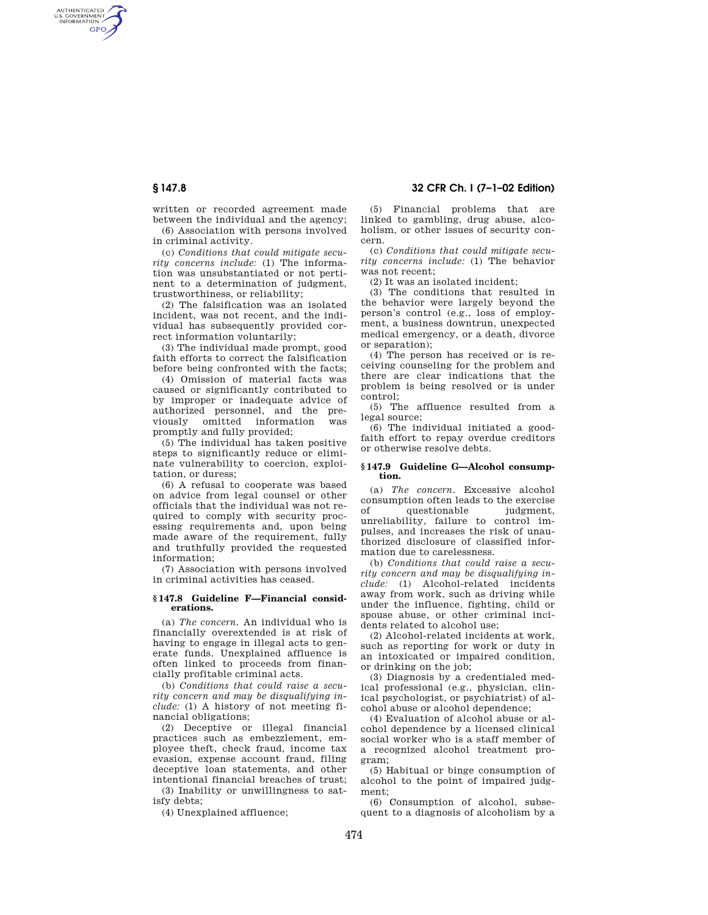AUTHENTICATED<br>U.S. GOVERNMENT<br>INFORMATION GPO

> written or recorded agreement made between the individual and the agency; (6) Association with persons involved

in criminal activity. (c) *Conditions that could mitigate secu-*

*rity concerns include:* (1) The information was unsubstantiated or not pertinent to a determination of judgment, trustworthiness, or reliability;

(2) The falsification was an isolated incident, was not recent, and the individual has subsequently provided correct information voluntarily;

(3) The individual made prompt, good faith efforts to correct the falsification before being confronted with the facts;

(4) Omission of material facts was caused or significantly contributed to by improper or inadequate advice of authorized personnel, and the previously omitted information was promptly and fully provided;

(5) The individual has taken positive steps to significantly reduce or eliminate vulnerability to coercion, exploitation, or duress;

(6) A refusal to cooperate was based on advice from legal counsel or other officials that the individual was not required to comply with security processing requirements and, upon being made aware of the requirement, fully and truthfully provided the requested information;

(7) Association with persons involved in criminal activities has ceased.

### **§ 147.8 Guideline F—Financial considerations.**

(a) *The concern.* An individual who is financially overextended is at risk of having to engage in illegal acts to generate funds. Unexplained affluence is often linked to proceeds from financially profitable criminal acts.

(b) *Conditions that could raise a security concern and may be disqualifying include:* (1) A history of not meeting financial obligations;

(2) Deceptive or illegal financial practices such as embezzlement, employee theft, check fraud, income tax evasion, expense account fraud, filing deceptive loan statements, and other intentional financial breaches of trust;

(3) Inability or unwillingness to satisfy debts;

(4) Unexplained affluence;

# **§ 147.8 32 CFR Ch. I (7–1–02 Edition)**

(5) Financial problems that are linked to gambling, drug abuse, alcoholism, or other issues of security concern.

(c) *Conditions that could mitigate security concerns include:* (1) The behavior was not recent;

(2) It was an isolated incident;

(3) The conditions that resulted in the behavior were largely beyond the person's control (e.g., loss of employment, a business downtrun, unexpected medical emergency, or a death, divorce or separation);

(4) The person has received or is receiving counseling for the problem and there are clear indications that the problem is being resolved or is under control;

(5) The affluence resulted from a legal source;

(6) The individual initiated a goodfaith effort to repay overdue creditors or otherwise resolve debts.

#### **§ 147.9 Guideline G—Alcohol consumption.**

(a) *The concern.* Excessive alcohol consumption often leads to the exercise of questionable judgment, unreliability, failure to control impulses, and increases the risk of unauthorized disclosure of classified information due to carelessness.

(b) *Conditions that could raise a security concern and may be disqualifying include:* (1) Alcohol-related incidents away from work, such as driving while under the influence, fighting, child or spouse abuse, or other criminal incidents related to alcohol use;

(2) Alcohol-related incidents at work, such as reporting for work or duty in an intoxicated or impaired condition, or drinking on the job;

(3) Diagnosis by a credentialed medical professional (e.g., physician, clinical psychologist, or psychiatrist) of alcohol abuse or alcohol dependence;

(4) Evaluation of alcohol abuse or alcohol dependence by a licensed clinical social worker who is a staff member of a recognized alcohol treatment program;

(5) Habitual or binge consumption of alcohol to the point of impaired judgment;

(6) Consumption of alcohol, subsequent to a diagnosis of alcoholism by a